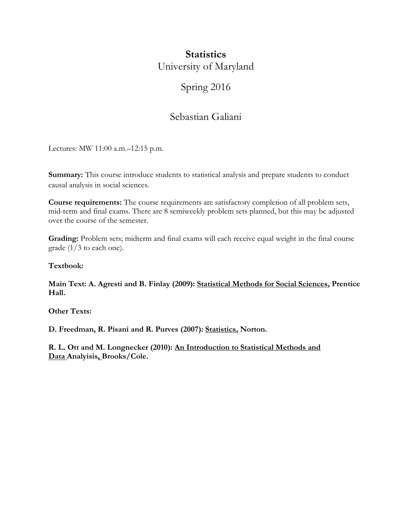# **Statistics** University of Maryland

# Spring 2016

# Sebastian Galiani

Lectures: MW 11:00 a.m.–12:15 p.m.

**Summary:** This course introduce students to statistical analysis and prepare students to conduct causal analysis in social sciences.

**Course requirements:** The course requirements are satisfactory completion of all problem sets, mid-term and final exams. There are 8 semiweekly problem sets planned, but this may be adjusted over the course of the semester.

Grading: Problem sets; midterm and final exams will each receive equal weight in the final course grade (1/3 to each one).

**Textbook:** 

**Main Text: A. Agresti and B. Finlay (2009): Statistical Methods for Social Sciences, Prentice Hall.** 

**Other Texts:** 

**D. Freedman, R. Pisani and R. Purves (2007): Statistics, Norton.** 

**R. L. Ott and M. Longnecker (2010): An Introduction to Statistical Methods and Data Analyisis, Brooks/Cole.**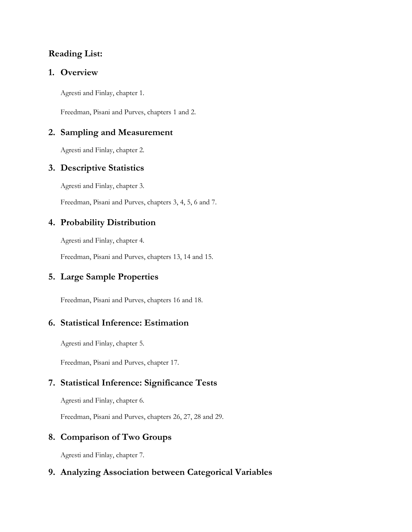# **Reading List:**

#### **1. Overview**

Agresti and Finlay, chapter 1.

Freedman, Pisani and Purves, chapters 1 and 2.

#### **2. Sampling and Measurement**

Agresti and Finlay, chapter 2.

### **3. Descriptive Statistics**

Agresti and Finlay, chapter 3.

Freedman, Pisani and Purves, chapters 3, 4, 5, 6 and 7.

### **4. Probability Distribution**

Agresti and Finlay, chapter 4.

Freedman, Pisani and Purves, chapters 13, 14 and 15.

# **5. Large Sample Properties**

Freedman, Pisani and Purves, chapters 16 and 18.

# **6. Statistical Inference: Estimation**

Agresti and Finlay, chapter 5.

Freedman, Pisani and Purves, chapter 17.

# **7. Statistical Inference: Significance Tests**

Agresti and Finlay, chapter 6.

Freedman, Pisani and Purves, chapters 26, 27, 28 and 29.

# **8. Comparison of Two Groups**

Agresti and Finlay, chapter 7.

# **9. Analyzing Association between Categorical Variables**